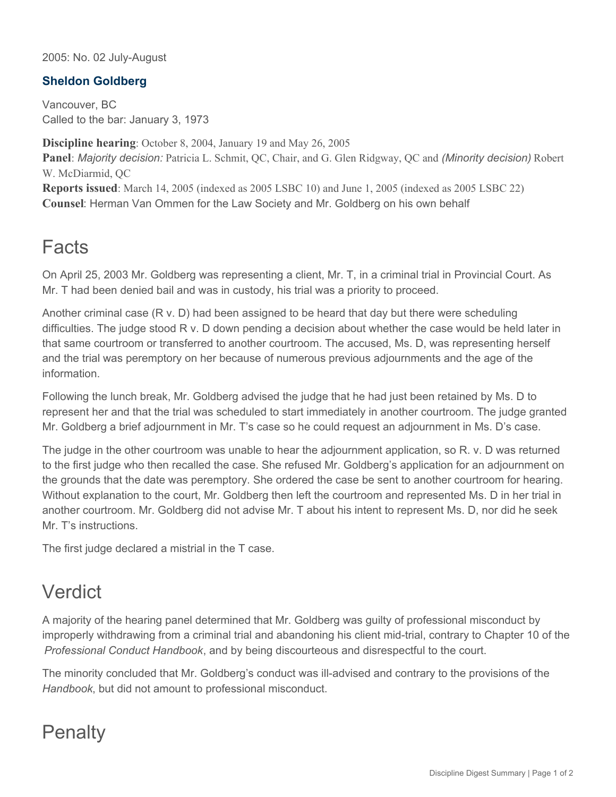2005: No. 02 July-August

## **Sheldon Goldberg**

Vancouver, BC Called to the bar: January 3, 1973

**Discipline hearing**: October 8, 2004, January 19 and May 26, 2005 **Panel**: *Majority decision:* Patricia L. Schmit, QC, Chair, and G. Glen Ridgway, QC and *(Minority decision)* Robert W. McDiarmid, QC **Reports issued**: March 14, 2005 (indexed as 2005 LSBC 10) and June 1, 2005 (indexed as 2005 LSBC 22) **Counsel**: Herman Van Ommen for the Law Society and Mr. Goldberg on his own behalf

## Facts

On April 25, 2003 Mr. Goldberg was representing a client, Mr. T, in a criminal trial in Provincial Court. As Mr. T had been denied bail and was in custody, his trial was a priority to proceed.

Another criminal case (R v. D) had been assigned to be heard that day but there were scheduling difficulties. The judge stood R v. D down pending a decision about whether the case would be held later in that same courtroom or transferred to another courtroom. The accused, Ms. D, was representing herself and the trial was peremptory on her because of numerous previous adjournments and the age of the information.

Following the lunch break, Mr. Goldberg advised the judge that he had just been retained by Ms. D to represent her and that the trial was scheduled to start immediately in another courtroom. The judge granted Mr. Goldberg a brief adjournment in Mr. T's case so he could request an adjournment in Ms. D's case.

The judge in the other courtroom was unable to hear the adjournment application, so R. v. D was returned to the first judge who then recalled the case. She refused Mr. Goldberg's application for an adjournment on the grounds that the date was peremptory. She ordered the case be sent to another courtroom for hearing. Without explanation to the court, Mr. Goldberg then left the courtroom and represented Ms. D in her trial in another courtroom. Mr. Goldberg did not advise Mr. T about his intent to represent Ms. D, nor did he seek Mr. T's instructions.

The first judge declared a mistrial in the T case.

## Verdict

A majority of the hearing panel determined that Mr. Goldberg was guilty of professional misconduct by improperly withdrawing from a criminal trial and abandoning his client mid-trial, contrary to Chapter 10 of the *Professional Conduct Handbook*, and by being discourteous and disrespectful to the court.

The minority concluded that Mr. Goldberg's conduct was ill-advised and contrary to the provisions of the *Handbook*, but did not amount to professional misconduct.

## **Penalty**